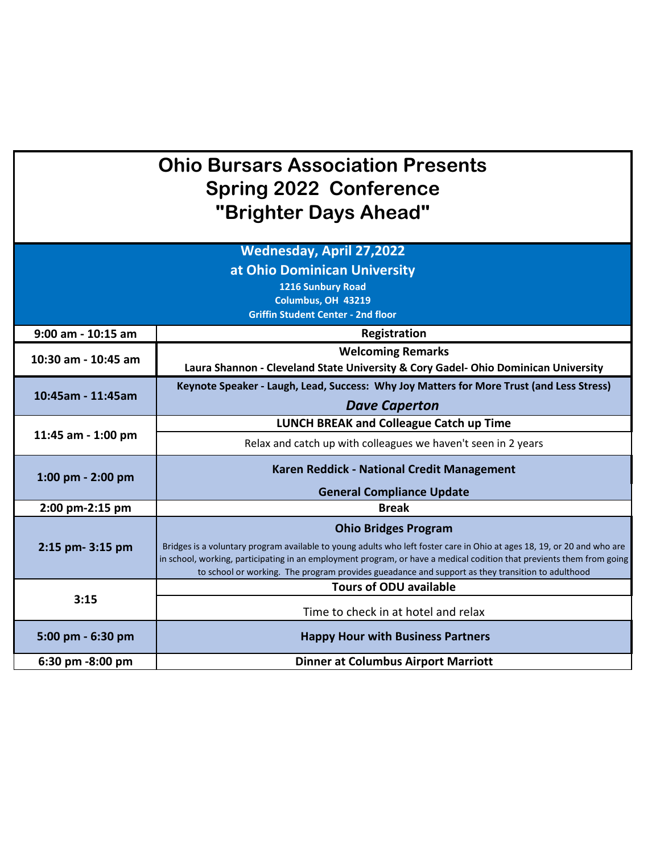## **Ohio Bursars Association Presents Spring 2022 Conference "Brighter Days Ahead"**

| <b>Wednesday, April 27,2022</b>           |                                                                                                                                                                                                                           |  |
|-------------------------------------------|---------------------------------------------------------------------------------------------------------------------------------------------------------------------------------------------------------------------------|--|
| at Ohio Dominican University              |                                                                                                                                                                                                                           |  |
| <b>1216 Sunbury Road</b>                  |                                                                                                                                                                                                                           |  |
| Columbus, OH 43219                        |                                                                                                                                                                                                                           |  |
| <b>Griffin Student Center - 2nd floor</b> |                                                                                                                                                                                                                           |  |
| $9:00$ am - 10:15 am                      | Registration                                                                                                                                                                                                              |  |
| 10:30 am - 10:45 am                       | <b>Welcoming Remarks</b>                                                                                                                                                                                                  |  |
|                                           | Laura Shannon - Cleveland State University & Cory Gadel- Ohio Dominican University                                                                                                                                        |  |
| 10:45am - 11:45am                         | Keynote Speaker - Laugh, Lead, Success: Why Joy Matters for More Trust (and Less Stress)                                                                                                                                  |  |
|                                           | <b>Dave Caperton</b>                                                                                                                                                                                                      |  |
| 11:45 am - 1:00 pm                        | <b>LUNCH BREAK and Colleague Catch up Time</b>                                                                                                                                                                            |  |
|                                           | Relax and catch up with colleagues we haven't seen in 2 years                                                                                                                                                             |  |
| 1:00 pm $-$ 2:00 pm                       | Karen Reddick - National Credit Management                                                                                                                                                                                |  |
|                                           | <b>General Compliance Update</b>                                                                                                                                                                                          |  |
| 2:00 pm-2:15 pm                           | <b>Break</b>                                                                                                                                                                                                              |  |
| 2:15 pm- 3:15 pm                          | <b>Ohio Bridges Program</b>                                                                                                                                                                                               |  |
|                                           | Bridges is a voluntary program available to young adults who left foster care in Ohio at ages 18, 19, or 20 and who are                                                                                                   |  |
|                                           | in school, working, participating in an employment program, or have a medical codition that previents them from going<br>to school or working. The program provides gueadance and support as they transition to adulthood |  |
| 3:15                                      | <b>Tours of ODU available</b>                                                                                                                                                                                             |  |
|                                           |                                                                                                                                                                                                                           |  |
|                                           | Time to check in at hotel and relax                                                                                                                                                                                       |  |
| 5:00 pm - 6:30 pm                         | <b>Happy Hour with Business Partners</b>                                                                                                                                                                                  |  |
| 6:30 pm -8:00 pm                          | <b>Dinner at Columbus Airport Marriott</b>                                                                                                                                                                                |  |